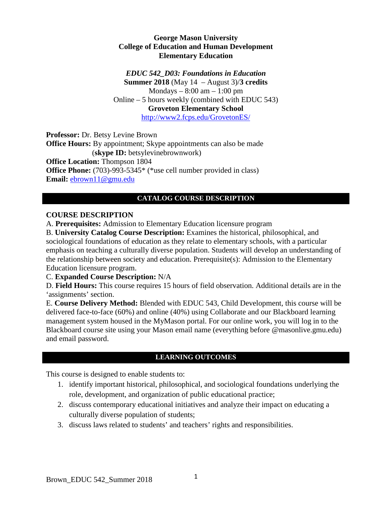#### **George Mason University College of Education and Human Development Elementary Education**

*EDUC 542\_D03: Foundations in Education*

**Summer 2018** (May 14 – August 3)/**3 credits** Mondays  $-8:00$  am  $-1:00$  pm Online – 5 hours weekly (combined with EDUC 543) **Groveton Elementary School**  <http://www2.fcps.edu/GrovetonES/>

**Professor:** Dr. Betsy Levine Brown **Office Hours:** By appointment; Skype appointments can also be made (**skype ID:** betsylevinebrownwork) **Office Location:** Thompson 1804 **Office Phone:** (703)-993-5345<sup>\*</sup> (\*use cell number provided in class) **Email:** [ebrown11@gmu.edu](mailto:ebrown11@gmu.edu)

### **CATALOG COURSE DESCRIPTION**

### **COURSE DESCRIPTION**

A. **Prerequisites:** Admission to Elementary Education licensure program

B. **University Catalog Course Description:** Examines the historical, philosophical, and sociological foundations of education as they relate to elementary schools, with a particular emphasis on teaching a culturally diverse population. Students will develop an understanding of the relationship between society and education. Prerequisite(s): Admission to the Elementary Education licensure program.

C. **Expanded Course Description:** N/A

D. **Field Hours:** This course requires 15 hours of field observation. Additional details are in the 'assignments' section.

E. **Course Delivery Method:** Blended with EDUC 543, Child Development, this course will be delivered face-to-face (60%) and online (40%) using Collaborate and our Blackboard learning management system housed in the MyMason portal. For our online work, you will log in to the Blackboard course site using your Mason email name (everything before @masonlive.gmu.edu) and email password.

## **LEARNING OUTCOMES**

This course is designed to enable students to:

- 1. identify important historical, philosophical, and sociological foundations underlying the role, development, and organization of public educational practice;
- 2. discuss contemporary educational initiatives and analyze their impact on educating a culturally diverse population of students;
- 3. discuss laws related to students' and teachers' rights and responsibilities.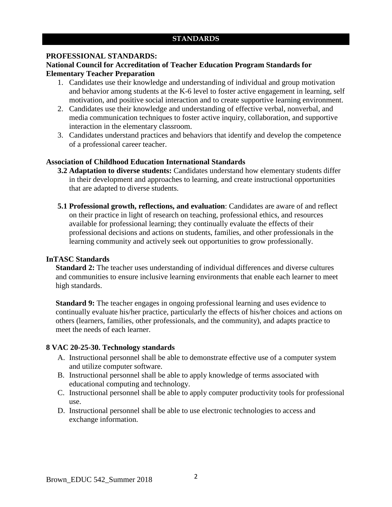#### **STANDARDS**

#### **PROFESSIONAL STANDARDS:**

#### **National Council for Accreditation of Teacher Education Program Standards for Elementary Teacher Preparation**

- 1. Candidates use their knowledge and understanding of individual and group motivation and behavior among students at the K-6 level to foster active engagement in learning, self motivation, and positive social interaction and to create supportive learning environment.
- 2. Candidates use their knowledge and understanding of effective verbal, nonverbal, and media communication techniques to foster active inquiry, collaboration, and supportive interaction in the elementary classroom.
- 3. Candidates understand practices and behaviors that identify and develop the competence of a professional career teacher.

#### **Association of Childhood Education International Standards**

- **3.2 Adaptation to diverse students:** Candidates understand how elementary students differ in their development and approaches to learning, and create instructional opportunities that are adapted to diverse students.
- **5.1 Professional growth, reflections, and evaluation**: Candidates are aware of and reflect on their practice in light of research on teaching, professional ethics, and resources available for professional learning; they continually evaluate the effects of their professional decisions and actions on students, families, and other professionals in the learning community and actively seek out opportunities to grow professionally.

#### **InTASC Standards**

**Standard 2:** The teacher uses understanding of individual differences and diverse cultures and communities to ensure inclusive learning environments that enable each learner to meet high standards.

**Standard 9:** The teacher engages in ongoing professional learning and uses evidence to continually evaluate his/her practice, particularly the effects of his/her choices and actions on others (learners, families, other professionals, and the community), and adapts practice to meet the needs of each learner.

#### **8 VAC 20-25-30. Technology standards**

- A. Instructional personnel shall be able to demonstrate effective use of a computer system and utilize computer software.
- B. Instructional personnel shall be able to apply knowledge of terms associated with educational computing and technology.
- C. Instructional personnel shall be able to apply computer productivity tools for professional use.
- D. Instructional personnel shall be able to use electronic technologies to access and exchange information.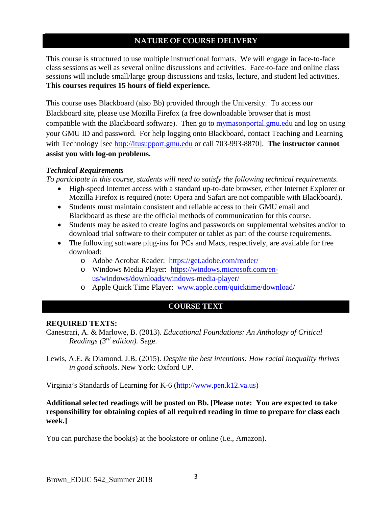#### **NATURE OF COURSE DELIVERY**

This course is structured to use multiple instructional formats. We will engage in face-to-face class sessions as well as several online discussions and activities. Face-to-face and online class sessions will include small/large group discussions and tasks, lecture, and student led activities. **This courses requires 15 hours of field experience.** 

This course uses Blackboard (also Bb) provided through the University. To access our Blackboard site, please use Mozilla Firefox (a free downloadable browser that is most compatible with the Blackboard software). Then go to mymasonportal.gmu.edu and log on using your GMU ID and password. For help logging onto Blackboard, contact Teaching and Learning with Technology [see [http://itusupport.gmu.edu](http://itusupport.gmu.edu/) or call 703-993-8870]. **The instructor cannot assist you with log-on problems.**

#### *Technical Requirements*

*To participate in this course, students will need to satisfy the following technical requirements.* 

- High-speed Internet access with a standard up-to-date browser, either Internet Explorer or Mozilla Firefox is required (note: Opera and Safari are not compatible with Blackboard).
- Students must maintain consistent and reliable access to their GMU email and Blackboard as these are the official methods of communication for this course.
- Students may be asked to create logins and passwords on supplemental websites and/or to download trial software to their computer or tablet as part of the course requirements.
- The following software plug-ins for PCs and Macs, respectively, are available for free download:
	- o Adobe Acrobat Reader: <https://get.adobe.com/reader/>
	- o Windows Media Player: [https://windows.microsoft.com/en](https://windows.microsoft.com/en-us/windows/downloads/windows-media-player/)[us/windows/downloads/windows-media-player/](https://windows.microsoft.com/en-us/windows/downloads/windows-media-player/)
	- o Apple Quick Time Player: [www.apple.com/quicktime/download/](http://www.apple.com/quicktime/download/)

### **COURSE TEXT**

#### **REQUIRED TEXTS:**

- Canestrari, A. & Marlowe, B. (2013). *Educational Foundations: An Anthology of Critical Readings (3rd edition).* Sage.
- Lewis, A.E. & Diamond, J.B. (2015). *Despite the best intentions: How racial inequality thrives in good schools*. New York: Oxford UP.

Virginia's Standards of Learning for K-6 [\(http://www.pen.k12.va.us\)](http://www.pen.k12.va.us/)

#### **Additional selected readings will be posted on Bb. [Please note: You are expected to take responsibility for obtaining copies of all required reading in time to prepare for class each week.]**

You can purchase the book(s) at the bookstore or online (i.e., Amazon).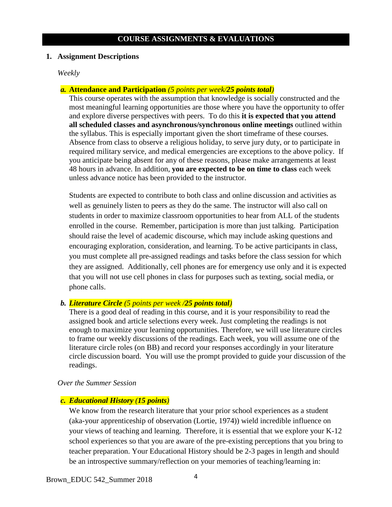#### **COURSE ASSIGNMENTS & EVALUATIONS**

#### **1. Assignment Descriptions**

*Weekly*

#### *a.* **Attendance and Participation** *(5 points per week/25 points total)*

This course operates with the assumption that knowledge is socially constructed and the most meaningful learning opportunities are those where you have the opportunity to offer and explore diverse perspectives with peers. To do this **it is expected that you attend all scheduled classes and asynchronous/synchronous online meetings** outlined within the syllabus. This is especially important given the short timeframe of these courses. Absence from class to observe a religious holiday, to serve jury duty, or to participate in required military service, and medical emergencies are exceptions to the above policy. If you anticipate being absent for any of these reasons, please make arrangements at least 48 hours in advance. In addition, **you are expected to be on time to class** each week unless advance notice has been provided to the instructor.

Students are expected to contribute to both class and online discussion and activities as well as genuinely listen to peers as they do the same. The instructor will also call on students in order to maximize classroom opportunities to hear from ALL of the students enrolled in the course. Remember, participation is more than just talking. Participation should raise the level of academic discourse, which may include asking questions and encouraging exploration, consideration, and learning. To be active participants in class, you must complete all pre-assigned readings and tasks before the class session for which they are assigned. Additionally, cell phones are for emergency use only and it is expected that you will not use cell phones in class for purposes such as texting, social media, or phone calls.

#### *b. Literature Circle (5 points per week /25 points total)*

There is a good deal of reading in this course, and it is your responsibility to read the assigned book and article selections every week. Just completing the readings is not enough to maximize your learning opportunities. Therefore, we will use literature circles to frame our weekly discussions of the readings. Each week, you will assume one of the literature circle roles (on BB) and record your responses accordingly in your literature circle discussion board. You will use the prompt provided to guide your discussion of the readings.

#### *Over the Summer Session*

#### *c. Educational History (15 points)*

We know from the research literature that your prior school experiences as a student (aka-your apprenticeship of observation (Lortie, 1974)) wield incredible influence on your views of teaching and learning. Therefore, it is essential that we explore your K-12 school experiences so that you are aware of the pre-existing perceptions that you bring to teacher preparation. Your Educational History should be 2-3 pages in length and should be an introspective summary/reflection on your memories of teaching/learning in: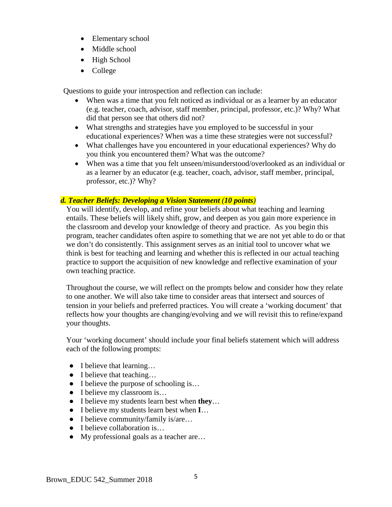- Elementary school
- Middle school
- High School
- College

Questions to guide your introspection and reflection can include:

- When was a time that you felt noticed as individual or as a learner by an educator (e.g. teacher, coach, advisor, staff member, principal, professor, etc.)? Why? What did that person see that others did not?
- What strengths and strategies have you employed to be successful in your educational experiences? When was a time these strategies were not successful?
- What challenges have you encountered in your educational experiences? Why do you think you encountered them? What was the outcome?
- When was a time that you felt unseen/misunderstood/overlooked as an individual or as a learner by an educator (e.g. teacher, coach, advisor, staff member, principal, professor, etc.)? Why?

### *d. Teacher Beliefs: Developing a Vision Statement (10 points)*

You will identify, develop, and refine your beliefs about what teaching and learning entails. These beliefs will likely shift, grow, and deepen as you gain more experience in the classroom and develop your knowledge of theory and practice. As you begin this program, teacher candidates often aspire to something that we are not yet able to do or that we don't do consistently. This assignment serves as an initial tool to uncover what we think is best for teaching and learning and whether this is reflected in our actual teaching practice to support the acquisition of new knowledge and reflective examination of your own teaching practice.

Throughout the course, we will reflect on the prompts below and consider how they relate to one another. We will also take time to consider areas that intersect and sources of tension in your beliefs and preferred practices. You will create a 'working document' that reflects how your thoughts are changing/evolving and we will revisit this to refine/expand your thoughts.

Your 'working document' should include your final beliefs statement which will address each of the following prompts:

- I believe that learning...
- I believe that teaching...
- I believe the purpose of schooling is...
- I believe my classroom is...
- I believe my students learn best when **they**…
- I believe my students learn best when **I**…
- I believe community/family is/are...
- I believe collaboration is...
- My professional goals as a teacher are...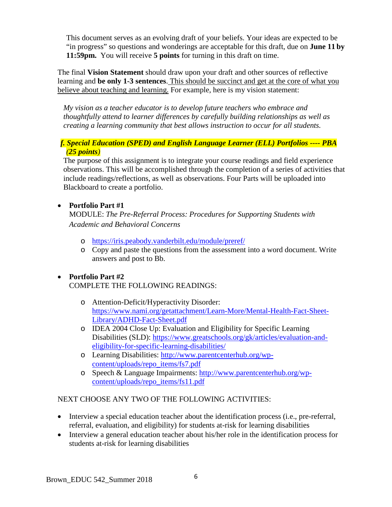This document serves as an evolving draft of your beliefs. Your ideas are expected to be "in progress" so questions and wonderings are acceptable for this draft, due on **June 11 by 11:59pm.** You will receive **5 points** for turning in this draft on time.

The final **Vision Statement** should draw upon your draft and other sources of reflective learning and **be only 1-3 sentences**. This should be succinct and get at the core of what you believe about teaching and learning. For example, here is my vision statement:

*My vision as a teacher educator is to develop future teachers who embrace and thoughtfully attend to learner differences by carefully building relationships as well as creating a learning community that best allows instruction to occur for all students.* 

### *f. Special Education (SPED) and English Language Learner (ELL) Portfolios ---- PBA (25 points)*

The purpose of this assignment is to integrate your course readings and field experience observations. This will be accomplished through the completion of a series of activities that include readings/reflections, as well as observations. Four Parts will be uploaded into Blackboard to create a portfolio.

### • **Portfolio Part #1**

MODULE: *The Pre-Referral Process: Procedures for Supporting Students with Academic and Behavioral Concerns*

- o <https://iris.peabody.vanderbilt.edu/module/preref/>
- o Copy and paste the questions from the assessment into a word document. Write answers and post to Bb.

## • **Portfolio Part #2**

COMPLETE THE FOLLOWING READINGS:

- o Attention-Deficit/Hyperactivity Disorder: [https://www.nami.org/getattachment/Learn-More/Mental-Health-Fact-Sheet-](https://www.nami.org/getattachment/Learn-More/Mental-Health-Fact-Sheet-Library/ADHD-Fact-Sheet.pdf)[Library/ADHD-Fact-Sheet.pdf](https://www.nami.org/getattachment/Learn-More/Mental-Health-Fact-Sheet-Library/ADHD-Fact-Sheet.pdf)
- o IDEA 2004 Close Up: Evaluation and Eligibility for Specific Learning Disabilities (SLD): [https://www.greatschools.org/gk/articles/evaluation-and](https://www.greatschools.org/gk/articles/evaluation-and-eligibility-for-specific-learning-disabilities/)[eligibility-for-specific-learning-disabilities/](https://www.greatschools.org/gk/articles/evaluation-and-eligibility-for-specific-learning-disabilities/)
- o Learning Disabilities: [http://www.parentcenterhub.org/wp](http://www.parentcenterhub.org/wp-content/uploads/repo_items/fs7.pdf)[content/uploads/repo\\_items/fs7.pdf](http://www.parentcenterhub.org/wp-content/uploads/repo_items/fs7.pdf)
- o Speech & Language Impairments: [http://www.parentcenterhub.org/wp](http://www.parentcenterhub.org/wp-content/uploads/repo_items/fs11.pdf)[content/uploads/repo\\_items/fs11.pdf](http://www.parentcenterhub.org/wp-content/uploads/repo_items/fs11.pdf)

## NEXT CHOOSE ANY TWO OF THE FOLLOWING ACTIVITIES:

- Interview a special education teacher about the identification process (i.e., pre-referral, referral, evaluation, and eligibility) for students at-risk for learning disabilities
- Interview a general education teacher about his/her role in the identification process for students at-risk for learning disabilities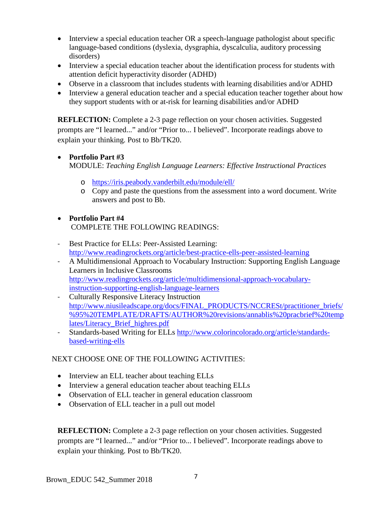- Interview a special education teacher OR a speech-language pathologist about specific language-based conditions (dyslexia, dysgraphia, dyscalculia, auditory processing disorders)
- Interview a special education teacher about the identification process for students with attention deficit hyperactivity disorder (ADHD)
- Observe in a classroom that includes students with learning disabilities and/or ADHD
- Interview a general education teacher and a special education teacher together about how they support students with or at-risk for learning disabilities and/or ADHD

**REFLECTION:** Complete a 2-3 page reflection on your chosen activities. Suggested prompts are "I learned..." and/or "Prior to... I believed". Incorporate readings above to explain your thinking. Post to Bb/TK20.

### • **Portfolio Part #3**

MODULE: *Teaching English Language Learners: Effective Instructional Practices*

- o <https://iris.peabody.vanderbilt.edu/module/ell/>
- o Copy and paste the questions from the assessment into a word document. Write answers and post to Bb.
- **Portfolio Part #4** COMPLETE THE FOLLOWING READINGS:
- Best Practice for ELLs: Peer-Assisted Learning: <http://www.readingrockets.org/article/best-practice-ells-peer-assisted-learning>
- A Multidimensional Approach to Vocabulary Instruction: Supporting English Language Learners in Inclusive Classrooms [http://www.readingrockets.org/article/multidimensional-approach-vocabulary](http://www.readingrockets.org/article/multidimensional-approach-vocabulary-instruction-supporting-english-language-learners)[instruction-supporting-english-language-learners](http://www.readingrockets.org/article/multidimensional-approach-vocabulary-instruction-supporting-english-language-learners)
- Culturally Responsive Literacy Instruction [http://www.niusileadscape.org/docs/FINAL\\_PRODUCTS/NCCRESt/practitioner\\_briefs/](http://www.niusileadscape.org/docs/FINAL_PRODUCTS/NCCRESt/practitioner_briefs/%95%20TEMPLATE/DRAFTS/AUTHOR%20revisions/annablis%20pracbrief%20templates/Literacy_Brief_highres.pdf) [%95%20TEMPLATE/DRAFTS/AUTHOR%20revisions/annablis%20pracbrief%20temp](http://www.niusileadscape.org/docs/FINAL_PRODUCTS/NCCRESt/practitioner_briefs/%95%20TEMPLATE/DRAFTS/AUTHOR%20revisions/annablis%20pracbrief%20templates/Literacy_Brief_highres.pdf) [lates/Literacy\\_Brief\\_highres.pdf](http://www.niusileadscape.org/docs/FINAL_PRODUCTS/NCCRESt/practitioner_briefs/%95%20TEMPLATE/DRAFTS/AUTHOR%20revisions/annablis%20pracbrief%20templates/Literacy_Brief_highres.pdf)
- Standards-based Writing for ELLs [http://www.colorincolorado.org/article/standards](http://www.colorincolorado.org/article/standards-based-writing-ells)[based-writing-ells](http://www.colorincolorado.org/article/standards-based-writing-ells)

### NEXT CHOOSE ONE OF THE FOLLOWING ACTIVITIES:

- Interview an ELL teacher about teaching ELLs
- Interview a general education teacher about teaching ELLs
- Observation of ELL teacher in general education classroom
- Observation of ELL teacher in a pull out model

**REFLECTION:** Complete a 2-3 page reflection on your chosen activities. Suggested prompts are "I learned..." and/or "Prior to... I believed". Incorporate readings above to explain your thinking. Post to Bb/TK20.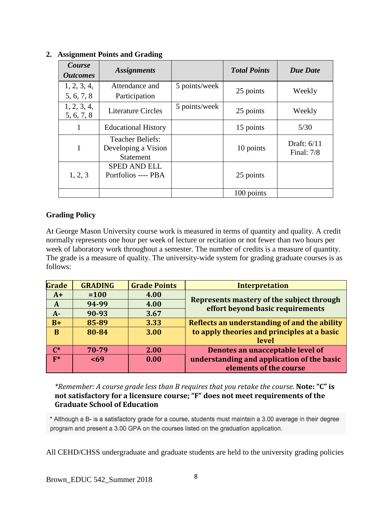| Course<br><b>Outcomes</b> | <b>Assignments</b>                                                 |               | <b>Total Points</b> | <b>Due Date</b>               |
|---------------------------|--------------------------------------------------------------------|---------------|---------------------|-------------------------------|
| 1, 2, 3, 4,<br>5, 6, 7, 8 | Attendance and<br>Participation                                    | 5 points/week | 25 points           | Weekly                        |
| 1, 2, 3, 4,<br>5, 6, 7, 8 | <b>Literature Circles</b>                                          | 5 points/week | 25 points           | Weekly                        |
|                           | <b>Educational History</b>                                         |               | 15 points           | $5/30$                        |
| 1                         | <b>Teacher Beliefs:</b><br>Developing a Vision<br><b>Statement</b> |               | 10 points           | Draft: $6/11$<br>Final: $7/8$ |
| 1, 2, 3                   | <b>SPED AND ELL</b><br>Portfolios ---- PBA                         |               | 25 points           |                               |
|                           |                                                                    |               | 100 points          |                               |

### **2. Assignment Points and Grading**

### **Grading Policy**

At George Mason University course work is measured in terms of quantity and quality. A credit normally represents one hour per week of lecture or recitation or not fewer than two hours per week of laboratory work throughout a semester. The number of credits is a measure of quantity. The grade is a measure of quality. The university-wide system for grading graduate courses is as follows:

| Grade          | <b>GRADING</b> | <b>Grade Points</b> | <b>Interpretation</b>                        |
|----------------|----------------|---------------------|----------------------------------------------|
| $A+$           | $= 100$        | 4.00                |                                              |
| $\mathbf{A}$   | 94-99          | 4.00                | Represents mastery of the subject through    |
| $A-$           | 90-93          | 3.67                | effort beyond basic requirements             |
| $B+$           | 85-89          | 3.33                | Reflects an understanding of and the ability |
| B              | 80-84          | 3.00                | to apply theories and principles at a basic  |
|                |                |                     | level                                        |
| $\mathbb{C}^*$ | 70-79          | 2.00                | Denotes an unacceptable level of             |
| $F^*$          | 569            | 0.00                | understanding and application of the basic   |
|                |                |                     | elements of the course                       |

*\*Remember: A course grade less than B requires that you retake the course.* **Note: "C" is not satisfactory for a licensure course; "F" does not meet requirements of the Graduate School of Education**

\* Although a B- is a satisfactory grade for a course, students must maintain a 3.00 average in their degree program and present a 3.00 GPA on the courses listed on the graduation application.

All CEHD/CHSS undergraduate and graduate students are held to the university grading policies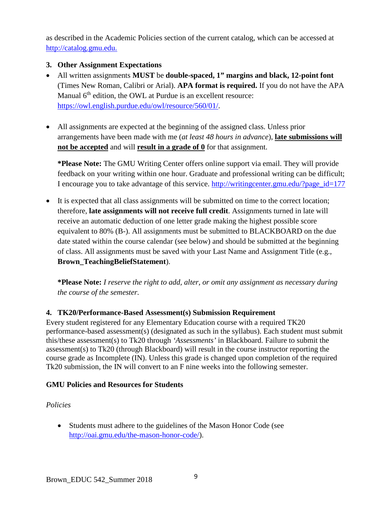as described in the Academic Policies section of the current catalog, which can be accessed at [http://catalog.gmu.edu.](http://catalog.gmu.edu/)

### **3. Other Assignment Expectations**

- All written assignments **MUST** be **double-spaced, 1" margins and black, 12-point font**  (Times New Roman, Calibri or Arial). **APA format is required.** If you do not have the APA Manual  $6<sup>th</sup>$  edition, the OWL at Purdue is an excellent resource: [https://owl.english.purdue.edu/owl/resource/560/01/.](https://owl.english.purdue.edu/owl/resource/560/01/)
- All assignments are expected at the beginning of the assigned class. Unless prior arrangements have been made with me (*at least 48 hours in advance*), **late submissions will not be accepted** and will **result in a grade of 0** for that assignment.

**\*Please Note:** The GMU Writing Center offers online support via email. They will provide feedback on your writing within one hour. Graduate and professional writing can be difficult; I encourage you to take advantage of this service. [http://writingcenter.gmu.edu/?page\\_id=177](http://writingcenter.gmu.edu/?page_id=177)

• It is expected that all class assignments will be submitted on time to the correct location; therefore, **late assignments will not receive full credit**. Assignments turned in late will receive an automatic deduction of one letter grade making the highest possible score equivalent to 80% (B-). All assignments must be submitted to BLACKBOARD on the due date stated within the course calendar (see below) and should be submitted at the beginning of class. All assignments must be saved with your Last Name and Assignment Title (e.g., **Brown\_TeachingBeliefStatement**).

**\*Please Note:** *I reserve the right to add, alter, or omit any assignment as necessary during the course of the semester.*

### **4. TK20/Performance-Based Assessment(s) Submission Requirement**

Every student registered for any Elementary Education course with a required TK20 performance-based assessment(s) (designated as such in the syllabus). Each student must submit this/these assessment(s) to Tk20 through *'Assessments'* in Blackboard. Failure to submit the assessment(s) to Tk20 (through Blackboard) will result in the course instructor reporting the course grade as Incomplete (IN). Unless this grade is changed upon completion of the required Tk20 submission, the IN will convert to an F nine weeks into the following semester.

#### **GMU Policies and Resources for Students**

#### *Policies*

• Students must adhere to the guidelines of the Mason Honor Code (see [http://oai.gmu.edu/the-mason-honor-code/\)](http://oai.gmu.edu/the-mason-honor-code/).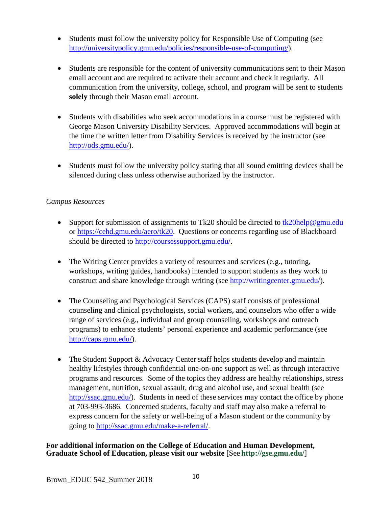- Students must follow the university policy for Responsible Use of Computing (see [http://universitypolicy.gmu.edu/policies/responsible-use-of-computing/\)](http://universitypolicy.gmu.edu/policies/responsible-use-of-computing/).
- Students are responsible for the content of university communications sent to their Mason email account and are required to activate their account and check it regularly. All communication from the university, college, school, and program will be sent to students **solely** through their Mason email account.
- Students with disabilities who seek accommodations in a course must be registered with George Mason University Disability Services. Approved accommodations will begin at the time the written letter from Disability Services is received by the instructor (see [http://ods.gmu.edu/\)](http://ods.gmu.edu/).
- Students must follow the university policy stating that all sound emitting devices shall be silenced during class unless otherwise authorized by the instructor.

### *Campus Resources*

- Support for submission of assignments to Tk20 should be directed to  $tk20$ help@gmu.edu or [https://cehd.gmu.edu/aero/tk20.](https://cehd.gmu.edu/aero/tk20) Questions or concerns regarding use of Blackboard should be directed to [http://coursessupport.gmu.edu/.](http://coursessupport.gmu.edu/)
- The Writing Center provides a variety of resources and services (e.g., tutoring, workshops, writing guides, handbooks) intended to support students as they work to construct and share knowledge through writing (see [http://writingcenter.gmu.edu/\)](http://writingcenter.gmu.edu/).
- The Counseling and Psychological Services (CAPS) staff consists of professional counseling and clinical psychologists, social workers, and counselors who offer a wide range of services (e.g., individual and group counseling, workshops and outreach programs) to enhance students' personal experience and academic performance (see [http://caps.gmu.edu/\)](http://caps.gmu.edu/).
- The Student Support & Advocacy Center staff helps students develop and maintain healthy lifestyles through confidential one-on-one support as well as through interactive programs and resources. Some of the topics they address are healthy relationships, stress management, nutrition, sexual assault, drug and alcohol use, and sexual health (see [http://ssac.gmu.edu/\)](http://ssac.gmu.edu/). Students in need of these services may contact the office by phone at 703-993-3686. Concerned students, faculty and staff may also make a referral to express concern for the safety or well-being of a Mason student or the community by going to [http://ssac.gmu.edu/make-a-referral/.](http://ssac.gmu.edu/make-a-referral/)

#### **For additional information on the College of Education and Human Development, Graduate School of Education, please visit our website** [See **<http://gse.gmu.edu/>**]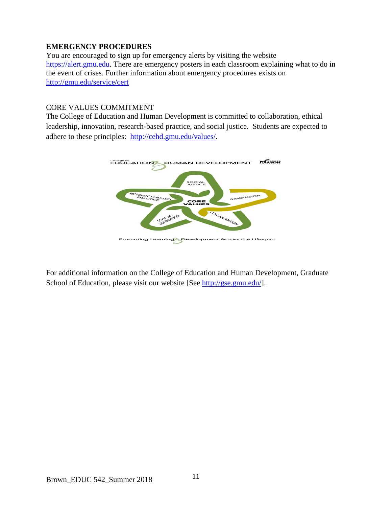### **EMERGENCY PROCEDURES**

You are encouraged to sign up for emergency alerts by visiting the website [https://alert.gmu.edu.](https://alert.gmu.edu/) There are emergency posters in each classroom explaining what to do in the event of crises. Further information about emergency procedures exists on <http://gmu.edu/service/cert>

#### CORE VALUES COMMITMENT

The College of Education and Human Development is committed to collaboration, ethical leadership, innovation, research-based practice, and social justice. Students are expected to adhere to these principles: [http://cehd.gmu.edu/values/.](http://cehd.gmu.edu/values/)



For additional information on the College of Education and Human Development, Graduate School of Education, please visit our website [See [http://gse.gmu.edu/\]](http://gse.gmu.edu/).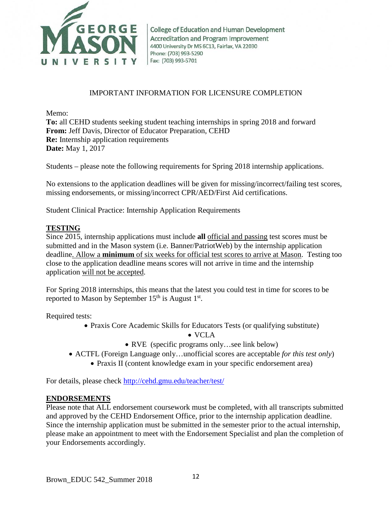

College of Education and Human Development Accreditation and Program Improvement 4400 University Dr MS 6C13, Fairfax, VA 22030 Phone: (703) 993-5290 Fax: (703) 993-5701

#### IMPORTANT INFORMATION FOR LICENSURE COMPLETION

Memo:

**To:** all CEHD students seeking student teaching internships in spring 2018 and forward **From:** Jeff Davis, Director of Educator Preparation, CEHD **Re:** Internship application requirements **Date:** May 1, 2017

Students – please note the following requirements for Spring 2018 internship applications.

No extensions to the application deadlines will be given for missing/incorrect/failing test scores, missing endorsements, or missing/incorrect CPR/AED/First Aid certifications.

Student Clinical Practice: Internship Application Requirements

#### **TESTING**

Since 2015, internship applications must include **all** official and passing test scores must be submitted and in the Mason system (i.e. Banner/PatriotWeb) by the internship application deadline. Allow a **minimum** of six weeks for official test scores to arrive at Mason. Testing too close to the application deadline means scores will not arrive in time and the internship application will not be accepted.

For Spring 2018 internships, this means that the latest you could test in time for scores to be reported to Mason by September  $15<sup>th</sup>$  is August  $1<sup>st</sup>$ .

Required tests:

• Praxis Core Academic Skills for Educators Tests (or qualifying substitute)

• VCLA

- RVE (specific programs only...see link below)
- ACTFL (Foreign Language only…unofficial scores are acceptable *for this test only*)
	- Praxis II (content knowledge exam in your specific endorsement area)

For details, please check<http://cehd.gmu.edu/teacher/test/>

#### **ENDORSEMENTS**

Please note that ALL endorsement coursework must be completed, with all transcripts submitted and approved by the CEHD Endorsement Office, prior to the internship application deadline. Since the internship application must be submitted in the semester prior to the actual internship, please make an appointment to meet with the Endorsement Specialist and plan the completion of your Endorsements accordingly.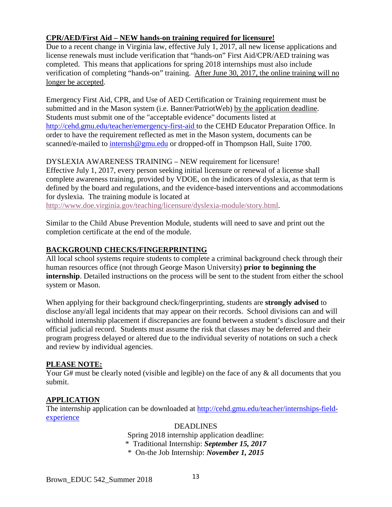### **CPR/AED/First Aid – NEW hands-on training required for licensure!**

Due to a recent change in Virginia law, effective July 1, 2017, all new license applications and license renewals must include verification that "hands-on" First Aid/CPR/AED training was completed. This means that applications for spring 2018 internships must also include verification of completing "hands-on" training. After June 30, 2017, the online training will no longer be accepted.

Emergency First Aid, CPR, and Use of AED Certification or Training requirement must be submitted and in the Mason system (i.e. Banner/PatriotWeb) by the application deadline. Students must submit one of the "acceptable evidence" documents listed at <http://cehd.gmu.edu/teacher/emergency-first-aid> to the CEHD Educator Preparation Office. In order to have the requirement reflected as met in the Mason system, documents can be scanned/e-mailed to [internsh@gmu.edu](mailto:internsh@gmu.edu) or dropped-off in Thompson Hall, Suite 1700.

#### DYSLEXIA AWARENESS TRAINING – NEW requirement for licensure!

Effective July 1, 2017, every person seeking initial licensure or renewal of a license shall complete awareness training, provided by VDOE, on the indicators of dyslexia, as that term is defined by the board and regulations, and the evidence-based interventions and accommodations for dyslexia. The training module is located at

[http://www.doe.virginia.gov/teaching/licensure/dyslexia-module/story.html.](http://www.doe.virginia.gov/teaching/licensure/dyslexia-module/story.html)

Similar to the Child Abuse Prevention Module, students will need to save and print out the completion certificate at the end of the module.

### **BACKGROUND CHECKS/FINGERPRINTING**

All local school systems require students to complete a criminal background check through their human resources office (not through George Mason University) **prior to beginning the internship**. Detailed instructions on the process will be sent to the student from either the school system or Mason.

When applying for their background check/fingerprinting, students are **strongly advised** to disclose any/all legal incidents that may appear on their records. School divisions can and will withhold internship placement if discrepancies are found between a student's disclosure and their official judicial record. Students must assume the risk that classes may be deferred and their program progress delayed or altered due to the individual severity of notations on such a check and review by individual agencies.

#### **PLEASE NOTE:**

Your G# must be clearly noted (visible and legible) on the face of any & all documents that you submit.

### **APPLICATION**

The internship application can be downloaded at [http://cehd.gmu.edu/teacher/internships-field](http://cehd.gmu.edu/teacher/internships-field-experience)[experience](http://cehd.gmu.edu/teacher/internships-field-experience)

> DEADLINES Spring 2018 internship application deadline: \* Traditional Internship: *September 15, 2017* \* On-the Job Internship: *November 1, 2015*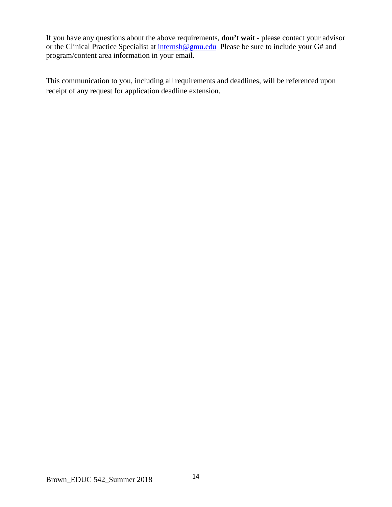If you have any questions about the above requirements, **don't wait** - please contact your advisor or the Clinical Practice Specialist at [internsh@gmu.edu](mailto:internsh@gmu.edu) Please be sure to include your G# and program/content area information in your email.

This communication to you, including all requirements and deadlines, will be referenced upon receipt of any request for application deadline extension.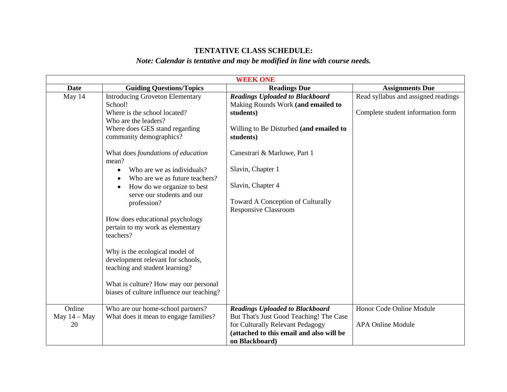## **TENTATIVE CLASS SCHEDULE:**

# *Note: Calendar is tentative and may be modified in line with course needs.*

| <b>WEEK ONE</b>                |                                                                                                       |                                                                                                                                                                                     |                                                                          |
|--------------------------------|-------------------------------------------------------------------------------------------------------|-------------------------------------------------------------------------------------------------------------------------------------------------------------------------------------|--------------------------------------------------------------------------|
| <b>Date</b>                    | <b>Guiding Questions/Topics</b>                                                                       | <b>Readings Due</b>                                                                                                                                                                 | <b>Assignments Due</b>                                                   |
| May 14                         | <b>Introducing Groveton Elementary</b><br>School!<br>Where is the school located?                     | <b>Readings Uploaded to Blackboard</b><br>Making Rounds Work (and emailed to<br>students)                                                                                           | Read syllabus and assigned readings<br>Complete student information form |
|                                | Who are the leaders?<br>Where does GES stand regarding<br>community demographics?                     | Willing to Be Disturbed (and emailed to<br>students)                                                                                                                                |                                                                          |
|                                | What does foundations of education<br>mean?                                                           | Canestrari & Marlowe, Part 1                                                                                                                                                        |                                                                          |
|                                | Who are we as individuals?<br>Who are we as future teachers?                                          | Slavin, Chapter 1                                                                                                                                                                   |                                                                          |
|                                | How do we organize to best<br>$\bullet$<br>serve our students and our<br>profession?                  | Slavin, Chapter 4<br>Toward A Conception of Culturally<br><b>Responsive Classroom</b>                                                                                               |                                                                          |
|                                | How does educational psychology<br>pertain to my work as elementary<br>teachers?                      |                                                                                                                                                                                     |                                                                          |
|                                | Why is the ecological model of<br>development relevant for schools,<br>teaching and student learning? |                                                                                                                                                                                     |                                                                          |
|                                | What is culture? How may our personal<br>biases of culture influence our teaching?                    |                                                                                                                                                                                     |                                                                          |
| Online<br>May $14 -$ May<br>20 | Who are our home-school partners?<br>What does it mean to engage families?                            | <b>Readings Uploaded to Blackboard</b><br>But That's Just Good Teaching! The Case<br>for Culturally Relevant Pedagogy<br>(attached to this email and also will be<br>on Blackboard) | Honor Code Online Module<br><b>APA Online Module</b>                     |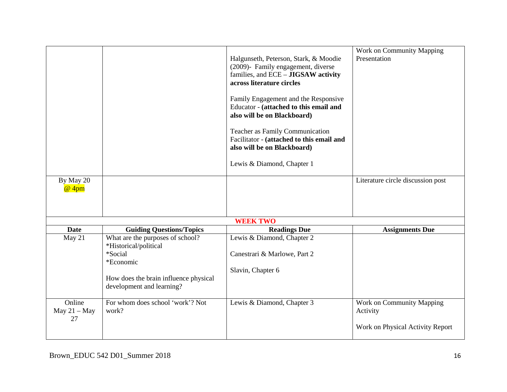|                                |                                                                                                                                                         | Halgunseth, Peterson, Stark, & Moodie<br>(2009)- Family engagement, diverse<br>families, and ECE - JIGSAW activity<br>across literature circles<br>Family Engagement and the Responsive<br>Educator - (attached to this email and<br>also will be on Blackboard)<br>Teacher as Family Communication<br>Facilitator - (attached to this email and<br>also will be on Blackboard)<br>Lewis & Diamond, Chapter 1 | Work on Community Mapping<br>Presentation |
|--------------------------------|---------------------------------------------------------------------------------------------------------------------------------------------------------|---------------------------------------------------------------------------------------------------------------------------------------------------------------------------------------------------------------------------------------------------------------------------------------------------------------------------------------------------------------------------------------------------------------|-------------------------------------------|
| By May 20<br>@ 4pm             |                                                                                                                                                         |                                                                                                                                                                                                                                                                                                                                                                                                               | Literature circle discussion post         |
|                                |                                                                                                                                                         | <b>WEEK TWO</b>                                                                                                                                                                                                                                                                                                                                                                                               |                                           |
| <b>Date</b>                    | <b>Guiding Questions/Topics</b>                                                                                                                         | <b>Readings Due</b>                                                                                                                                                                                                                                                                                                                                                                                           | <b>Assignments Due</b>                    |
| May 21                         | What are the purposes of school?<br>*Historical/political<br>*Social<br>*Economic<br>How does the brain influence physical<br>development and learning? | Lewis & Diamond, Chapter 2<br>Canestrari & Marlowe, Part 2<br>Slavin, Chapter 6                                                                                                                                                                                                                                                                                                                               |                                           |
|                                |                                                                                                                                                         |                                                                                                                                                                                                                                                                                                                                                                                                               |                                           |
| Online<br>May $21 -$ May<br>27 | For whom does school 'work'? Not<br>work?                                                                                                               | Lewis & Diamond, Chapter 3                                                                                                                                                                                                                                                                                                                                                                                    | Work on Community Mapping<br>Activity     |
|                                |                                                                                                                                                         |                                                                                                                                                                                                                                                                                                                                                                                                               | Work on Physical Activity Report          |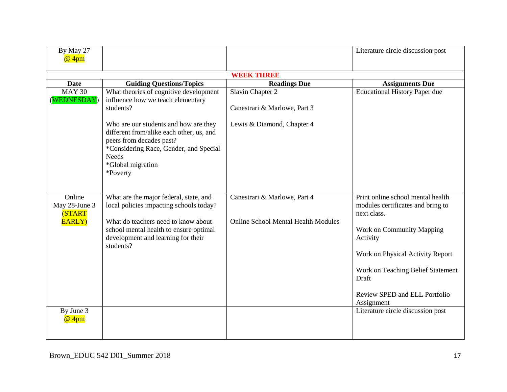| By May 27<br>@ 4pm                                        |                                                                                                                                                                                                                       |                                                                            | Literature circle discussion post                                                                                                                                                                                                                               |
|-----------------------------------------------------------|-----------------------------------------------------------------------------------------------------------------------------------------------------------------------------------------------------------------------|----------------------------------------------------------------------------|-----------------------------------------------------------------------------------------------------------------------------------------------------------------------------------------------------------------------------------------------------------------|
|                                                           |                                                                                                                                                                                                                       |                                                                            |                                                                                                                                                                                                                                                                 |
|                                                           |                                                                                                                                                                                                                       | <b>WEEK THREE</b>                                                          |                                                                                                                                                                                                                                                                 |
| <b>Date</b>                                               | <b>Guiding Questions/Topics</b>                                                                                                                                                                                       | <b>Readings Due</b>                                                        | <b>Assignments Due</b>                                                                                                                                                                                                                                          |
| <b>MAY 30</b><br>(WEDNESDAY)                              | What theories of cognitive development<br>influence how we teach elementary<br>students?                                                                                                                              | Slavin Chapter 2<br>Canestrari & Marlowe, Part 3                           | <b>Educational History Paper due</b>                                                                                                                                                                                                                            |
|                                                           | Who are our students and how are they<br>different from/alike each other, us, and<br>peers from decades past?<br>*Considering Race, Gender, and Special<br><b>Needs</b><br>*Global migration<br>*Poverty              | Lewis & Diamond, Chapter 4                                                 |                                                                                                                                                                                                                                                                 |
| Online<br>May 28-June 3<br><b>(START</b><br><b>EARLY)</b> | What are the major federal, state, and<br>local policies impacting schools today?<br>What do teachers need to know about<br>school mental health to ensure optimal<br>development and learning for their<br>students? | Canestrari & Marlowe, Part 4<br><b>Online School Mental Health Modules</b> | Print online school mental health<br>modules certificates and bring to<br>next class.<br>Work on Community Mapping<br>Activity<br>Work on Physical Activity Report<br>Work on Teaching Belief Statement<br>Draft<br>Review SPED and ELL Portfolio<br>Assignment |
| By June 3<br>@ 4pm                                        |                                                                                                                                                                                                                       |                                                                            | Literature circle discussion post                                                                                                                                                                                                                               |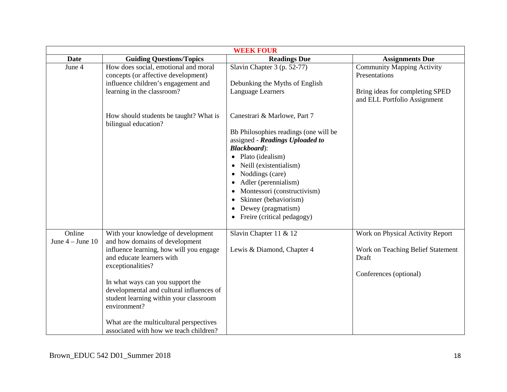| <b>WEEK FOUR</b>               |                                                                                                                                                                                                                                                                                                                                                                                                  |                                                                                                                                                                                                                                                                                                                                                                                                |                                                                                                                       |  |
|--------------------------------|--------------------------------------------------------------------------------------------------------------------------------------------------------------------------------------------------------------------------------------------------------------------------------------------------------------------------------------------------------------------------------------------------|------------------------------------------------------------------------------------------------------------------------------------------------------------------------------------------------------------------------------------------------------------------------------------------------------------------------------------------------------------------------------------------------|-----------------------------------------------------------------------------------------------------------------------|--|
| <b>Date</b>                    | <b>Guiding Questions/Topics</b>                                                                                                                                                                                                                                                                                                                                                                  | <b>Readings Due</b>                                                                                                                                                                                                                                                                                                                                                                            | <b>Assignments Due</b>                                                                                                |  |
| June 4                         | How does social, emotional and moral<br>concepts (or affective development)<br>influence children's engagement and<br>learning in the classroom?                                                                                                                                                                                                                                                 | Slavin Chapter 3 (p. 52-77)<br>Debunking the Myths of English<br>Language Learners                                                                                                                                                                                                                                                                                                             | <b>Community Mapping Activity</b><br>Presentations<br>Bring ideas for completing SPED<br>and ELL Portfolio Assignment |  |
|                                | How should students be taught? What is<br>bilingual education?                                                                                                                                                                                                                                                                                                                                   | Canestrari & Marlowe, Part 7<br>Bb Philosophies readings (one will be<br>assigned - Readings Uploaded to<br><b>Blackboard</b> ):<br>Plato (idealism)<br>Neill (existentialism)<br>Noddings (care)<br>$\bullet$<br>Adler (perennialism)<br>Montessori (constructivism)<br>$\bullet$<br>Skinner (behaviorism)<br>٠<br>Dewey (pragmatism)<br>$\bullet$<br>Freire (critical pedagogy)<br>$\bullet$ |                                                                                                                       |  |
| Online<br>June $4 -$ June $10$ | With your knowledge of development<br>and how domains of development<br>influence learning, how will you engage<br>and educate learners with<br>exceptionalities?<br>In what ways can you support the<br>developmental and cultural influences of<br>student learning within your classroom<br>environment?<br>What are the multicultural perspectives<br>associated with how we teach children? | Slavin Chapter 11 & 12<br>Lewis & Diamond, Chapter 4                                                                                                                                                                                                                                                                                                                                           | Work on Physical Activity Report<br>Work on Teaching Belief Statement<br>Draft<br>Conferences (optional)              |  |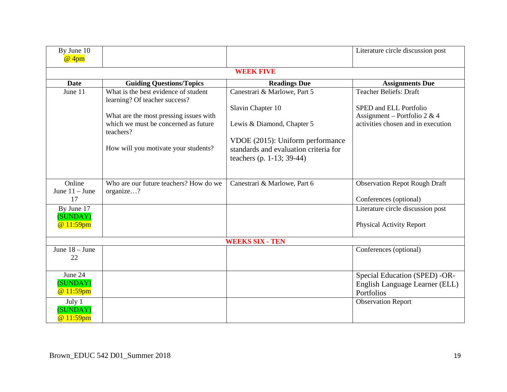| By June 10<br>@ 4pm              |                                                                       |                                                                                                        | Literature circle discussion post                                             |
|----------------------------------|-----------------------------------------------------------------------|--------------------------------------------------------------------------------------------------------|-------------------------------------------------------------------------------|
|                                  |                                                                       | <b>WEEK FIVE</b>                                                                                       |                                                                               |
| <b>Date</b>                      | <b>Guiding Questions/Topics</b>                                       | <b>Readings Due</b>                                                                                    | <b>Assignments Due</b>                                                        |
| June 11                          | What is the best evidence of student<br>learning? Of teacher success? | Canestrari & Marlowe, Part 5                                                                           | <b>Teacher Beliefs: Draft</b>                                                 |
|                                  | What are the most pressing issues with                                | Slavin Chapter 10                                                                                      | SPED and ELL Portfolio<br>Assignment – Portfolio 2 & 4                        |
|                                  | which we must be concerned as future<br>teachers?                     | Lewis & Diamond, Chapter 5                                                                             | activities chosen and in execution                                            |
|                                  | How will you motivate your students?                                  | VDOE (2015): Uniform performance<br>standards and evaluation criteria for<br>teachers (p. 1-13; 39-44) |                                                                               |
| Online                           | Who are our future teachers? How do we                                | Canestrari & Marlowe, Part 6                                                                           | <b>Observation Repot Rough Draft</b>                                          |
| June $11 -$ June<br>17           | organize?                                                             |                                                                                                        | Conferences (optional)                                                        |
| By June 17<br>(SUNDAY)           |                                                                       |                                                                                                        | Literature circle discussion post                                             |
| @ 11:59pm                        |                                                                       |                                                                                                        | <b>Physical Activity Report</b>                                               |
|                                  |                                                                       | <b>WEEKS SIX - TEN</b>                                                                                 |                                                                               |
| June $18 -$ June<br>22           |                                                                       |                                                                                                        | Conferences (optional)                                                        |
| June 24<br>(SUNDAY)<br>@ 11:59pm |                                                                       |                                                                                                        | Special Education (SPED) -OR-<br>English Language Learner (ELL)<br>Portfolios |
| July 1<br>(SUNDAY)<br>@ 11:59pm  |                                                                       |                                                                                                        | <b>Observation Report</b>                                                     |